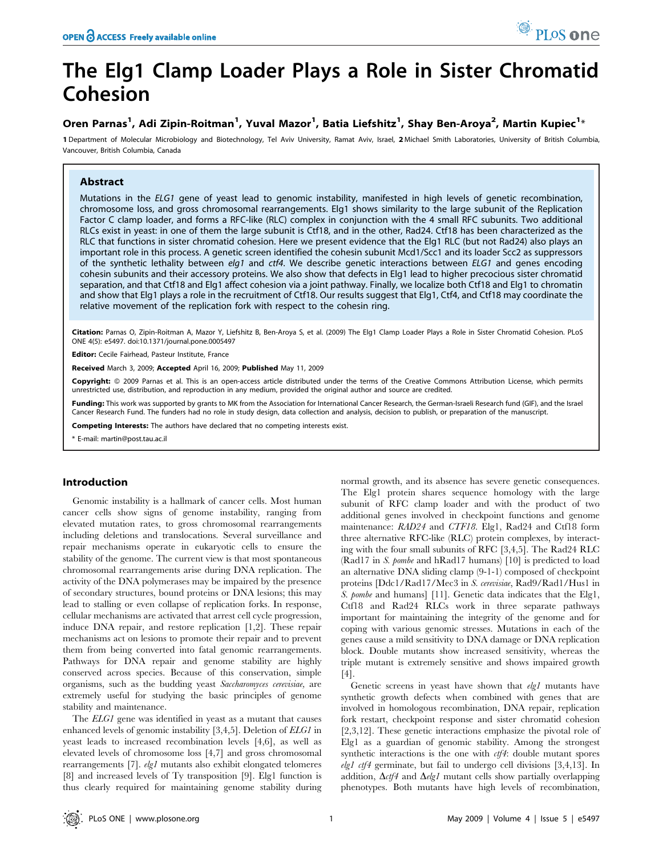# The Elg1 Clamp Loader Plays a Role in Sister Chromatid Cohesion

# Oren Parnas<sup>1</sup>, Adi Zipin-Roitman<sup>1</sup>, Yuval Mazor<sup>1</sup>, Batia Liefshitz<sup>1</sup>, Shay Ben-Aroya<sup>2</sup>, Martin Kupiec<sup>1</sup>\*

1 Department of Molecular Microbiology and Biotechnology, Tel Aviv University, Ramat Aviv, Israel, 2 Michael Smith Laboratories, University of British Columbia, Vancouver, British Columbia, Canada

# Abstract

Mutations in the ELG1 gene of yeast lead to genomic instability, manifested in high levels of genetic recombination, chromosome loss, and gross chromosomal rearrangements. Elg1 shows similarity to the large subunit of the Replication Factor C clamp loader, and forms a RFC-like (RLC) complex in conjunction with the 4 small RFC subunits. Two additional RLCs exist in yeast: in one of them the large subunit is Ctf18, and in the other, Rad24. Ctf18 has been characterized as the RLC that functions in sister chromatid cohesion. Here we present evidence that the Elg1 RLC (but not Rad24) also plays an important role in this process. A genetic screen identified the cohesin subunit Mcd1/Scc1 and its loader Scc2 as suppressors of the synthetic lethality between  $elg1$  and ctf4. We describe genetic interactions between  $ELG1$  and genes encoding cohesin subunits and their accessory proteins. We also show that defects in Elg1 lead to higher precocious sister chromatid separation, and that Ctf18 and Elg1 affect cohesion via a joint pathway. Finally, we localize both Ctf18 and Elg1 to chromatin and show that Elg1 plays a role in the recruitment of Ctf18. Our results suggest that Elg1, Ctf4, and Ctf18 may coordinate the relative movement of the replication fork with respect to the cohesin ring.

Citation: Parnas O, Zipin-Roitman A, Mazor Y, Liefshitz B, Ben-Aroya S, et al. (2009) The Elg1 Clamp Loader Plays a Role in Sister Chromatid Cohesion. PLoS ONE 4(5): e5497. doi:10.1371/journal.pone.0005497

Editor: Cecile Fairhead, Pasteur Institute, France

Received March 3, 2009; Accepted April 16, 2009; Published May 11, 2009

Copyright: @ 2009 Parnas et al. This is an open-access article distributed under the terms of the Creative Commons Attribution License, which permits unrestricted use, distribution, and reproduction in any medium, provided the original author and source are credited.

Funding: This work was supported by grants to MK from the Association for International Cancer Research, the German-Israeli Research fund (GIF), and the Israel Cancer Research Fund. The funders had no role in study design, data collection and analysis, decision to publish, or preparation of the manuscript.

Competing Interests: The authors have declared that no competing interests exist.

\* E-mail: martin@post.tau.ac.il

# Introduction

Genomic instability is a hallmark of cancer cells. Most human cancer cells show signs of genome instability, ranging from elevated mutation rates, to gross chromosomal rearrangements including deletions and translocations. Several surveillance and repair mechanisms operate in eukaryotic cells to ensure the stability of the genome. The current view is that most spontaneous chromosomal rearrangements arise during DNA replication. The activity of the DNA polymerases may be impaired by the presence of secondary structures, bound proteins or DNA lesions; this may lead to stalling or even collapse of replication forks. In response, cellular mechanisms are activated that arrest cell cycle progression, induce DNA repair, and restore replication [1,2]. These repair mechanisms act on lesions to promote their repair and to prevent them from being converted into fatal genomic rearrangements. Pathways for DNA repair and genome stability are highly conserved across species. Because of this conservation, simple organisms, such as the budding yeast Saccharomyces cerevisiae, are extremely useful for studying the basic principles of genome stability and maintenance.

The *ELG1* gene was identified in yeast as a mutant that causes enhanced levels of genomic instability [3,4,5]. Deletion of ELG1 in yeast leads to increased recombination levels [4,6], as well as elevated levels of chromosome loss [4,7] and gross chromosomal rearrangements [7]. elg1 mutants also exhibit elongated telomeres [8] and increased levels of Ty transposition [9]. Elg1 function is thus clearly required for maintaining genome stability during normal growth, and its absence has severe genetic consequences. The Elg1 protein shares sequence homology with the large subunit of RFC clamp loader and with the product of two additional genes involved in checkpoint functions and genome maintenance: RAD24 and CTF18. Elg1, Rad24 and Ctf18 form three alternative RFC-like (RLC) protein complexes, by interacting with the four small subunits of RFC [3,4,5]. The Rad24 RLC (Rad17 in S. pombe and hRad17 humans) [10] is predicted to load an alternative DNA sliding clamp (9-1-1) composed of checkpoint proteins [Ddc1/Rad17/Mec3 in S. cerevisiae, Rad9/Rad1/Hus1 in S. pombe and humans] [11]. Genetic data indicates that the Elg1, Ctf18 and Rad24 RLCs work in three separate pathways important for maintaining the integrity of the genome and for coping with various genomic stresses. Mutations in each of the genes cause a mild sensitivity to DNA damage or DNA replication block. Double mutants show increased sensitivity, whereas the triple mutant is extremely sensitive and shows impaired growth [4].

Genetic screens in yeast have shown that elg1 mutants have synthetic growth defects when combined with genes that are involved in homologous recombination, DNA repair, replication fork restart, checkpoint response and sister chromatid cohesion [2,3,12]. These genetic interactions emphasize the pivotal role of Elg1 as a guardian of genomic stability. Among the strongest synthetic interactions is the one with  $ctf4$ : double mutant spores *elg1* ctf4 germinate, but fail to undergo cell divisions  $[3,4,13]$ . In addition,  $\Delta c$ tf4 and  $\Delta e$ lg1 mutant cells show partially overlapping phenotypes. Both mutants have high levels of recombination,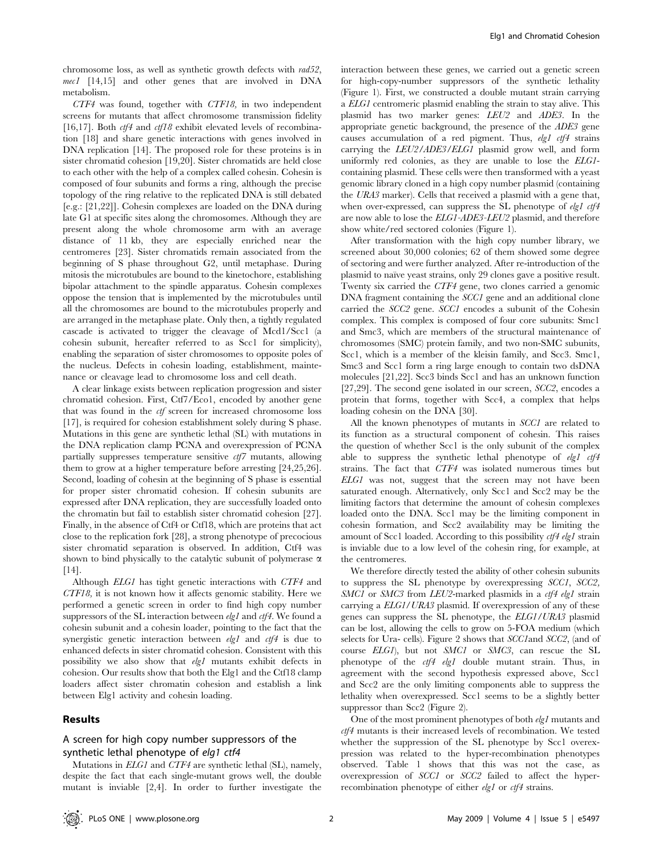chromosome loss, as well as synthetic growth defects with rad52, mec1 [14,15] and other genes that are involved in DNA metabolism.

CTF4 was found, together with CTF18, in two independent screens for mutants that affect chromosome transmission fidelity [16,17]. Both  $ctf4$  and  $ctf18$  exhibit elevated levels of recombination [18] and share genetic interactions with genes involved in DNA replication [14]. The proposed role for these proteins is in sister chromatid cohesion [19,20]. Sister chromatids are held close to each other with the help of a complex called cohesin. Cohesin is composed of four subunits and forms a ring, although the precise topology of the ring relative to the replicated DNA is still debated [e.g.: [21,22]]. Cohesin complexes are loaded on the DNA during late G1 at specific sites along the chromosomes. Although they are present along the whole chromosome arm with an average distance of 11 kb, they are especially enriched near the centromeres [23]. Sister chromatids remain associated from the beginning of S phase throughout G2, until metaphase. During mitosis the microtubules are bound to the kinetochore, establishing bipolar attachment to the spindle apparatus. Cohesin complexes oppose the tension that is implemented by the microtubules until all the chromosomes are bound to the microtubules properly and are arranged in the metaphase plate. Only then, a tightly regulated cascade is activated to trigger the cleavage of Mcd1/Scc1 (a cohesin subunit, hereafter referred to as Scc1 for simplicity), enabling the separation of sister chromosomes to opposite poles of the nucleus. Defects in cohesin loading, establishment, maintenance or cleavage lead to chromosome loss and cell death.

A clear linkage exists between replication progression and sister chromatid cohesion. First, Ctf7/Eco1, encoded by another gene that was found in the *ctf* screen for increased chromosome loss [17], is required for cohesion establishment solely during S phase. Mutations in this gene are synthetic lethal (SL) with mutations in the DNA replication clamp PCNA and overexpression of PCNA partially suppresses temperature sensitive  $ct/7$  mutants, allowing them to grow at a higher temperature before arresting [24,25,26]. Second, loading of cohesin at the beginning of S phase is essential for proper sister chromatid cohesion. If cohesin subunits are expressed after DNA replication, they are successfully loaded onto the chromatin but fail to establish sister chromatid cohesion [27]. Finally, in the absence of Ctf4 or Ctf18, which are proteins that act close to the replication fork [28], a strong phenotype of precocious sister chromatid separation is observed. In addition, Ctf4 was shown to bind physically to the catalytic subunit of polymerase  $\alpha$ [14].

Although ELG1 has tight genetic interactions with CTF4 and CTF18, it is not known how it affects genomic stability. Here we performed a genetic screen in order to find high copy number suppressors of the SL interaction between  $\ell \llbracket \ell \rrbracket$  and  $\ell \llbracket \ell \rrbracket$ . We found a cohesin subunit and a cohesin loader, pointing to the fact that the synergistic genetic interaction between  $elgl$  and  $ctf4$  is due to enhanced defects in sister chromatid cohesion. Consistent with this possibility we also show that elg1 mutants exhibit defects in cohesion. Our results show that both the Elg1 and the Ctf18 clamp loaders affect sister chromatin cohesion and establish a link between Elg1 activity and cohesin loading.

#### Results

### A screen for high copy number suppressors of the synthetic lethal phenotype of elg1 ctf4

Mutations in ELG1 and CTF4 are synthetic lethal (SL), namely, despite the fact that each single-mutant grows well, the double mutant is inviable [2,4]. In order to further investigate the interaction between these genes, we carried out a genetic screen for high-copy-number suppressors of the synthetic lethality (Figure 1). First, we constructed a double mutant strain carrying a ELG1 centromeric plasmid enabling the strain to stay alive. This plasmid has two marker genes: LEU2 and ADE3. In the appropriate genetic background, the presence of the ADE3 gene causes accumulation of a red pigment. Thus,  $elgl$  ctf4 strains carrying the LEU2/ADE3/ELG1 plasmid grow well, and form uniformly red colonies, as they are unable to lose the ELG1 containing plasmid. These cells were then transformed with a yeast genomic library cloned in a high copy number plasmid (containing the URA3 marker). Cells that received a plasmid with a gene that, when over-expressed, can suppress the SL phenotype of elg1 ctf4 are now able to lose the ELG1-ADE3-LEU2 plasmid, and therefore show white/red sectored colonies (Figure 1).

After transformation with the high copy number library, we screened about 30,000 colonies; 62 of them showed some degree of sectoring and were further analyzed. After re-introduction of the plasmid to naïve yeast strains, only 29 clones gave a positive result. Twenty six carried the CTF4 gene, two clones carried a genomic DNA fragment containing the *SCC1* gene and an additional clone carried the SCC2 gene. SCC1 encodes a subunit of the Cohesin complex. This complex is composed of four core subunits: Smc1 and Smc3, which are members of the structural maintenance of chromosomes (SMC) protein family, and two non-SMC subunits, Scc1, which is a member of the kleisin family, and Scc3. Smc1, Smc3 and Scc1 form a ring large enough to contain two dsDNA molecules [21,22]. Scc3 binds Scc1 and has an unknown function [27,29]. The second gene isolated in our screen, SCC2, encodes a protein that forms, together with Scc4, a complex that helps loading cohesin on the DNA [30].

All the known phenotypes of mutants in SCC1 are related to its function as a structural component of cohesin. This raises the question of whether Scc1 is the only subunit of the complex able to suppress the synthetic lethal phenotype of elg1 ctf4 strains. The fact that CTF4 was isolated numerous times but ELG1 was not, suggest that the screen may not have been saturated enough. Alternatively, only Scc1 and Scc2 may be the limiting factors that determine the amount of cohesin complexes loaded onto the DNA. Scc1 may be the limiting component in cohesin formation, and Scc2 availability may be limiting the amount of Scc1 loaded. According to this possibility ctf4 elg1 strain is inviable due to a low level of the cohesin ring, for example, at the centromeres.

We therefore directly tested the ability of other cohesin subunits to suppress the SL phenotype by overexpressing SCC1, SCC2, SMC1 or SMC3 from LEU2-marked plasmids in a  $ctf4$  elg1 strain carrying a ELG1/URA3 plasmid. If overexpression of any of these genes can suppress the SL phenotype, the ELG1/URA3 plasmid can be lost, allowing the cells to grow on 5-FOA medium (which selects for Ura- cells). Figure 2 shows that *SCC1* and *SCC2*, (and of course ELG1), but not SMC1 or SMC3, can rescue the SL phenotype of the *ctf4 elg1* double mutant strain. Thus, in agreement with the second hypothesis expressed above, Scc1 and Scc2 are the only limiting components able to suppress the lethality when overexpressed. Scc1 seems to be a slightly better suppressor than Scc2 (Figure 2).

One of the most prominent phenotypes of both elg1 mutants and ctf4 mutants is their increased levels of recombination. We tested whether the suppression of the SL phenotype by Scc1 overexpression was related to the hyper-recombination phenotypes observed. Table 1 shows that this was not the case, as overexpression of SCC1 or SCC2 failed to affect the hyperrecombination phenotype of either elg1 or ctf4 strains.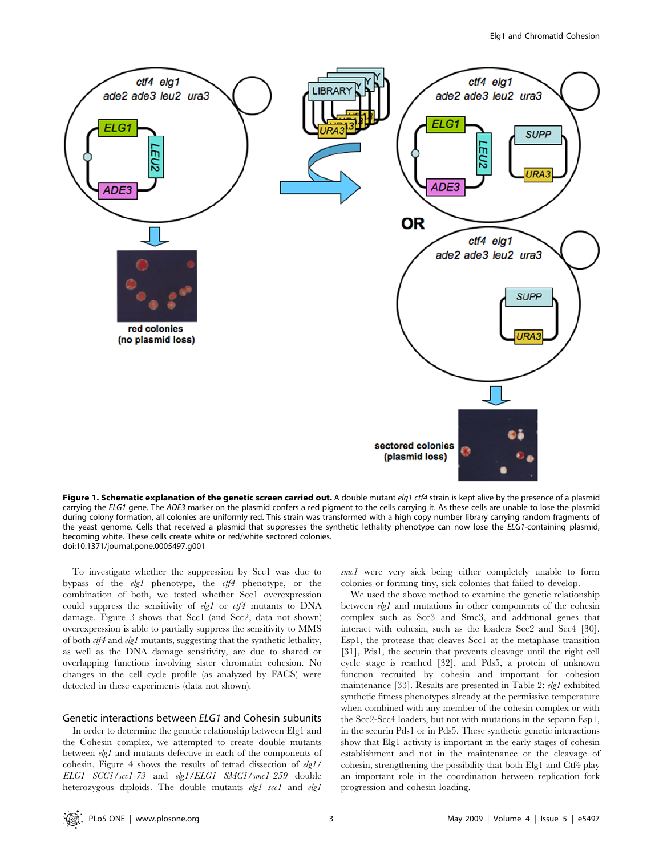

Figure 1. Schematic explanation of the genetic screen carried out. A double mutant elg1 ctf4 strain is kept alive by the presence of a plasmid carrying the ELG1 gene. The ADE3 marker on the plasmid confers a red pigment to the cells carrying it. As these cells are unable to lose the plasmid during colony formation, all colonies are uniformly red. This strain was transformed with a high copy number library carrying random fragments of the yeast genome. Cells that received a plasmid that suppresses the synthetic lethality phenotype can now lose the ELG1-containing plasmid, becoming white. These cells create white or red/white sectored colonies. doi:10.1371/journal.pone.0005497.g001

To investigate whether the suppression by Scc1 was due to bypass of the elg1 phenotype, the ctf4 phenotype, or the combination of both, we tested whether Scc1 overexpression could suppress the sensitivity of  $elg1$  or  $ctf4$  mutants to DNA damage. Figure 3 shows that Scc1 (and Scc2, data not shown) overexpression is able to partially suppress the sensitivity to MMS of both ctf4 and elg1 mutants, suggesting that the synthetic lethality, as well as the DNA damage sensitivity, are due to shared or overlapping functions involving sister chromatin cohesion. No changes in the cell cycle profile (as analyzed by FACS) were detected in these experiments (data not shown).

#### Genetic interactions between ELG1 and Cohesin subunits

In order to determine the genetic relationship between Elg1 and the Cohesin complex, we attempted to create double mutants between elg1 and mutants defective in each of the components of cohesin. Figure 4 shows the results of tetrad dissection of elg1/ ELG1 SCC1/scc1-73 and elg1/ELG1 SMC1/smc1-259 double heterozygous diploids. The double mutants elg1 scc1 and elg1

smc1 were very sick being either completely unable to form colonies or forming tiny, sick colonies that failed to develop.

We used the above method to examine the genetic relationship between *elg1* and mutations in other components of the cohesin complex such as Scc3 and Smc3, and additional genes that interact with cohesin, such as the loaders Scc2 and Scc4 [30], Esp1, the protease that cleaves Scc1 at the metaphase transition [31], Pds1, the securin that prevents cleavage until the right cell cycle stage is reached [32], and Pds5, a protein of unknown function recruited by cohesin and important for cohesion maintenance [33]. Results are presented in Table 2: elg1 exhibited synthetic fitness phenotypes already at the permissive temperature when combined with any member of the cohesin complex or with the Scc2-Scc4 loaders, but not with mutations in the separin Esp1, in the securin Pds1 or in Pds5. These synthetic genetic interactions show that Elg1 activity is important in the early stages of cohesin establishment and not in the maintenance or the cleavage of cohesin, strengthening the possibility that both Elg1 and Ctf4 play an important role in the coordination between replication fork progression and cohesin loading.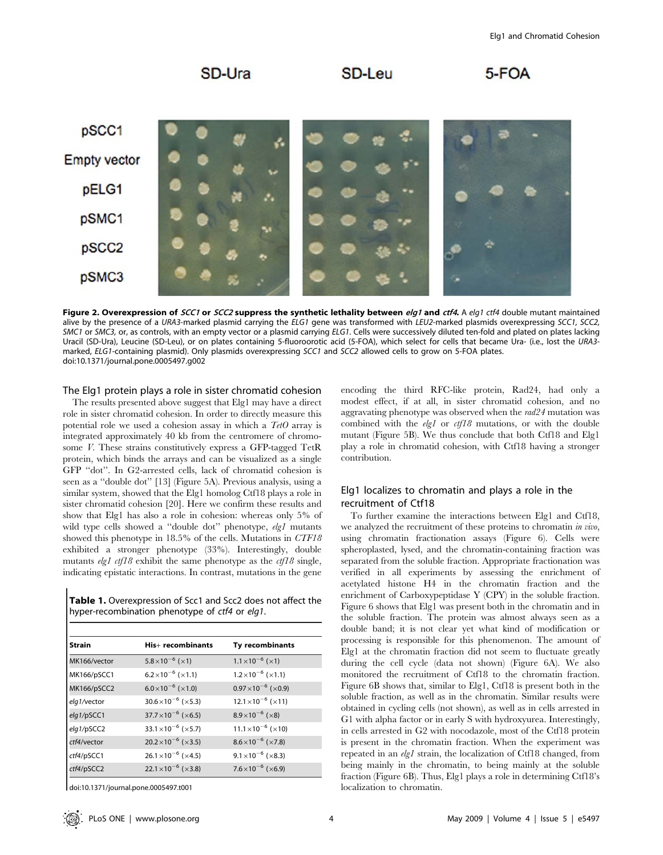

Figure 2. Overexpression of SCC1 or SCC2 suppress the synthetic lethality between elg1 and ctf4. A elg1 ctf4 double mutant maintained alive by the presence of a URA3-marked plasmid carrying the ELG1 gene was transformed with LEU2-marked plasmids overexpressing SCC1, SCC2, SMC1 or SMC3, or, as controls, with an empty vector or a plasmid carrying ELG1. Cells were successively diluted ten-fold and plated on plates lacking Uracil (SD-Ura), Leucine (SD-Leu), or on plates containing 5-fluoroorotic acid (5-FOA), which select for cells that became Ura- (i.e., lost the URA3 marked, ELG1-containing plasmid). Only plasmids overexpressing SCC1 and SCC2 allowed cells to grow on 5-FOA plates. doi:10.1371/journal.pone.0005497.g002

The Elg1 protein plays a role in sister chromatid cohesion

The results presented above suggest that Elg1 may have a direct role in sister chromatid cohesion. In order to directly measure this potential role we used a cohesion assay in which a  $TetO$  array is integrated approximately 40 kb from the centromere of chromosome V. These strains constitutively express a GFP-tagged TetR protein, which binds the arrays and can be visualized as a single GFP ''dot''. In G2-arrested cells, lack of chromatid cohesion is seen as a ''double dot'' [13] (Figure 5A). Previous analysis, using a similar system, showed that the Elg1 homolog Ctf18 plays a role in sister chromatid cohesion [20]. Here we confirm these results and show that Elg1 has also a role in cohesion: whereas only 5% of wild type cells showed a "double dot" phenotype, elg1 mutants showed this phenotype in 18.5% of the cells. Mutations in CTF18 exhibited a stronger phenotype (33%). Interestingly, double mutants elg1 ctf18 exhibit the same phenotype as the  $ctf18$  single, indicating epistatic interactions. In contrast, mutations in the gene

| <b>Table 1.</b> Overexpression of Scc1 and Scc2 does not affect the |  |
|---------------------------------------------------------------------|--|
| hyper-recombination phenotype of ctf4 or elg1.                      |  |

| <b>Strain</b> | His+ recombinants            | Ty recombinants                       |
|---------------|------------------------------|---------------------------------------|
| MK166/vector  | $5.8 \times 10^{-6}$ (×1)    | $1.1 \times 10^{-6}$ ( $\times$ 1)    |
| MK166/pSCC1   | $6.2 \times 10^{-6}$ (×1.1)  | $1.2 \times 10^{-6}$ ( $\times 1.1$ ) |
| MK166/pSCC2   | $6.0 \times 10^{-6}$ (×1.0)  | $0.97 \times 10^{-6}$ (×0.9)          |
| elg1/vector   | $30.6 \times 10^{-6}$ (×5.3) | $12.1 \times 10^{-6}$ (×11)           |
| elg1/pSCC1    | $37.7 \times 10^{-6}$ (×6.5) | $8.9 \times 10^{-6}$ ( $\times$ 8)    |
| elg1/pSCC2    | $33.1 \times 10^{-6}$ (×5.7) | $11.1 \times 10^{-6}$ (×10)           |
| ctf4/vector   | $20.2 \times 10^{-6}$ (×3.5) | $8.6 \times 10^{-6}$ (×7.8)           |
| ctf4/pSCC1    | $26.1 \times 10^{-6}$ (×4.5) | $9.1 \times 10^{-6}$ ( $\times$ 8.3)  |
| ctf4/pSCC2    | $22.1 \times 10^{-6}$ (×3.8) | $7.6 \times 10^{-6}$ ( $\times 6.9$ ) |

doi:10.1371/journal.pone.0005497.t001

encoding the third RFC-like protein, Rad24, had only a modest effect, if at all, in sister chromatid cohesion, and no aggravating phenotype was observed when the rad24 mutation was combined with the  $elgl$  or  $ctf18$  mutations, or with the double mutant (Figure 5B). We thus conclude that both Ctf18 and Elg1 play a role in chromatid cohesion, with Ctf18 having a stronger contribution.

# Elg1 localizes to chromatin and plays a role in the recruitment of Ctf18

To further examine the interactions between Elg1 and Ctf18, we analyzed the recruitment of these proteins to chromatin in vivo, using chromatin fractionation assays (Figure 6). Cells were spheroplasted, lysed, and the chromatin-containing fraction was separated from the soluble fraction. Appropriate fractionation was verified in all experiments by assessing the enrichment of acetylated histone H4 in the chromatin fraction and the enrichment of Carboxypeptidase Y (CPY) in the soluble fraction. Figure 6 shows that Elg1 was present both in the chromatin and in the soluble fraction. The protein was almost always seen as a double band; it is not clear yet what kind of modification or processing is responsible for this phenomenon. The amount of Elg1 at the chromatin fraction did not seem to fluctuate greatly during the cell cycle (data not shown) (Figure 6A). We also monitored the recruitment of Ctf18 to the chromatin fraction. Figure 6B shows that, similar to Elg1, Ctf18 is present both in the soluble fraction, as well as in the chromatin. Similar results were obtained in cycling cells (not shown), as well as in cells arrested in G1 with alpha factor or in early S with hydroxyurea. Interestingly, in cells arrested in G2 with nocodazole, most of the Ctf18 protein is present in the chromatin fraction. When the experiment was repeated in an elg1 strain, the localization of Ctf18 changed, from being mainly in the chromatin, to being mainly at the soluble fraction (Figure 6B). Thus, Elg1 plays a role in determining Ctf18's localization to chromatin.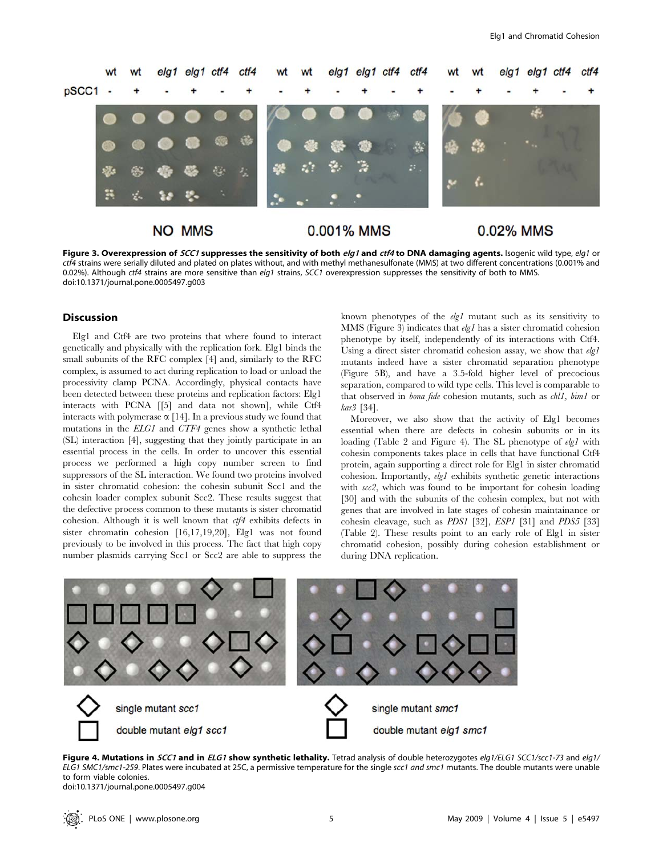

Figure 3. Overexpression of SCC1 suppresses the sensitivity of both elg1 and ctf4 to DNA damaging agents. Isogenic wild type, elg1 or ctf4 strains were serially diluted and plated on plates without, and with methyl methanesulfonate (MMS) at two different concentrations (0.001% and 0.02%). Although ctf4 strains are more sensitive than elg1 strains, SCC1 overexpression suppresses the sensitivity of both to MMS. doi:10.1371/journal.pone.0005497.g003

### Discussion

Elg1 and Ctf4 are two proteins that where found to interact genetically and physically with the replication fork. Elg1 binds the small subunits of the RFC complex [4] and, similarly to the RFC complex, is assumed to act during replication to load or unload the processivity clamp PCNA. Accordingly, physical contacts have been detected between these proteins and replication factors: Elg1 interacts with PCNA [[5] and data not shown], while Ctf4 interacts with polymerase  $\alpha$  [14]. In a previous study we found that mutations in the ELG1 and CTF4 genes show a synthetic lethal (SL) interaction [4], suggesting that they jointly participate in an essential process in the cells. In order to uncover this essential process we performed a high copy number screen to find suppressors of the SL interaction. We found two proteins involved in sister chromatid cohesion: the cohesin subunit Scc1 and the cohesin loader complex subunit Scc2. These results suggest that the defective process common to these mutants is sister chromatid cohesion. Although it is well known that  $\partial f \mathcal{H}$  exhibits defects in sister chromatin cohesion [16,17,19,20], Elg1 was not found previously to be involved in this process. The fact that high copy number plasmids carrying Scc1 or Scc2 are able to suppress the known phenotypes of the  $elgl$  mutant such as its sensitivity to MMS (Figure 3) indicates that elg1 has a sister chromatid cohesion phenotype by itself, independently of its interactions with Ctf4. Using a direct sister chromatid cohesion assay, we show that  $elqI$ mutants indeed have a sister chromatid separation phenotype (Figure 5B), and have a 3.5-fold higher level of precocious separation, compared to wild type cells. This level is comparable to that observed in bona fide cohesion mutants, such as chl1, bim1 or kar3 [34].

Moreover, we also show that the activity of Elg1 becomes essential when there are defects in cohesin subunits or in its loading (Table 2 and Figure 4). The SL phenotype of elg1 with cohesin components takes place in cells that have functional Ctf4 protein, again supporting a direct role for Elg1 in sister chromatid cohesion. Importantly, elg1 exhibits synthetic genetic interactions with scc2, which was found to be important for cohesin loading [30] and with the subunits of the cohesin complex, but not with genes that are involved in late stages of cohesin maintainance or cohesin cleavage, such as PDS1 [32], ESP1 [31] and PDS5 [33] (Table 2). These results point to an early role of Elg1 in sister chromatid cohesion, possibly during cohesion establishment or during DNA replication.



Figure 4. Mutations in SCC1 and in ELG1 show synthetic lethality. Tetrad analysis of double heterozygotes elg1/ELG1 SCC1/scc1-73 and elg1/ ELG1 SMC1/smc1-259. Plates were incubated at 25C, a permissive temperature for the single scc1 and smc1 mutants. The double mutants were unable to form viable colonies. doi:10.1371/journal.pone.0005497.g004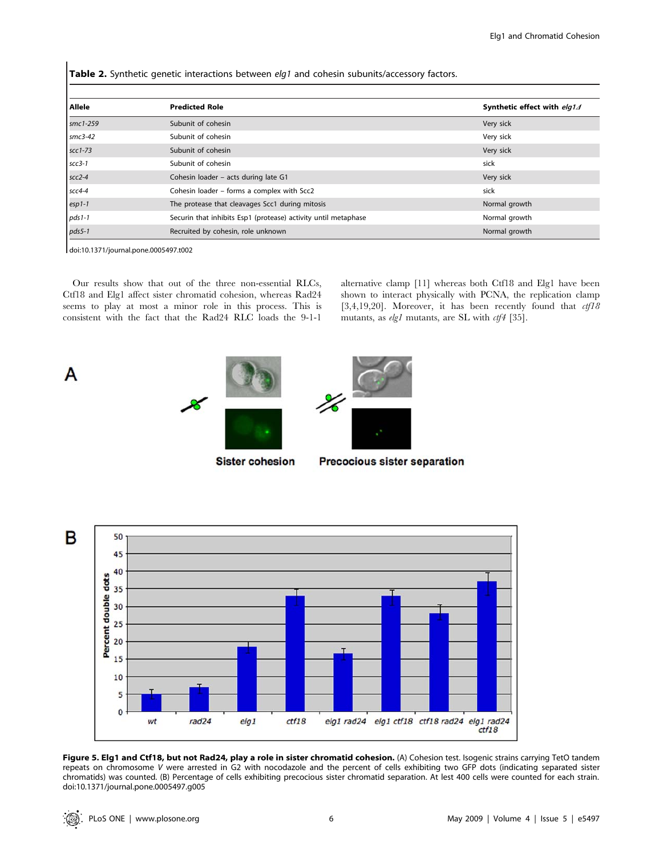Table 2. Synthetic genetic interactions between elg1 and cohesin subunits/accessory factors.

| Allele    | <b>Predicted Role</b>                                          | Synthetic effect with elg14 |
|-----------|----------------------------------------------------------------|-----------------------------|
| smc1-259  | Subunit of cohesin                                             | Very sick                   |
| $smc3-42$ | Subunit of cohesin                                             | Very sick                   |
| $scc1-73$ | Subunit of cohesin                                             | Very sick                   |
| $scc3-1$  | Subunit of cohesin                                             | sick                        |
| $scc2-4$  | Cohesin loader - acts during late G1                           | Very sick                   |
| $scc4-4$  | Cohesin loader - forms a complex with Scc2                     | sick                        |
| $esp1-1$  | The protease that cleavages Scc1 during mitosis                | Normal growth               |
| $pds1-1$  | Securin that inhibits Esp1 (protease) activity until metaphase | Normal growth               |
| $pds5-1$  | Recruited by cohesin, role unknown                             | Normal growth               |

doi:10.1371/journal.pone.0005497.t002

A

Our results show that out of the three non-essential RLCs, Ctf18 and Elg1 affect sister chromatid cohesion, whereas Rad24 seems to play at most a minor role in this process. This is consistent with the fact that the Rad24 RLC loads the 9-1-1 alternative clamp [11] whereas both Ctf18 and Elg1 have been shown to interact physically with PCNA, the replication clamp [3,4,19,20]. Moreover, it has been recently found that  $\frac{ct}{18}$ mutants, as  $elg1$  mutants, are SL with  $ctf4$  [35].



**Sister cohesion** 

**Precocious sister separation** 



Figure 5. Elg1 and Ctf18, but not Rad24, play a role in sister chromatid cohesion. (A) Cohesion test. Isogenic strains carrying TetO tandem repeats on chromosome V were arrested in G2 with nocodazole and the percent of cells exhibiting two GFP dots (indicating separated sister chromatids) was counted. (B) Percentage of cells exhibiting precocious sister chromatid separation. At lest 400 cells were counted for each strain. doi:10.1371/journal.pone.0005497.g005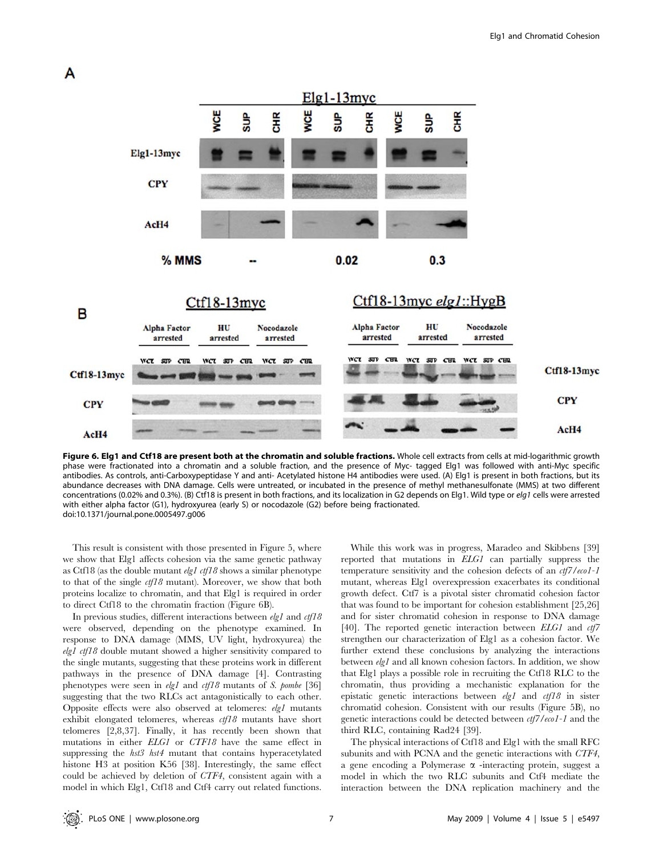

Figure 6. Elg1 and Ctf18 are present both at the chromatin and soluble fractions. Whole cell extracts from cells at mid-logarithmic growth phase were fractionated into a chromatin and a soluble fraction, and the presence of Myc- tagged Elg1 was followed with anti-Myc specific antibodies. As controls, anti-Carboxypeptidase Y and anti- Acetylated histone H4 antibodies were used. (A) Elg1 is present in both fractions, but its abundance decreases with DNA damage. Cells were untreated, or incubated in the presence of methyl methanesulfonate (MMS) at two different concentrations (0.02% and 0.3%). (B) Ctf18 is present in both fractions, and its localization in G2 depends on Elg1. Wild type or elg1 cells were arrested with either alpha factor (G1), hydroxyurea (early S) or nocodazole (G2) before being fractionated. doi:10.1371/journal.pone.0005497.g006

This result is consistent with those presented in Figure 5, where we show that Elg1 affects cohesion via the same genetic pathway as Ctf18 (as the double mutant  $elgl$  ctf18 shows a similar phenotype to that of the single  $\frac{ct}{18}$  mutant). Moreover, we show that both proteins localize to chromatin, and that Elg1 is required in order to direct Ctf18 to the chromatin fraction (Figure 6B).

In previous studies, different interactions between  $elgl$  and  $ctf18$ were observed, depending on the phenotype examined. In response to DNA damage (MMS, UV light, hydroxyurea) the elg1 ctf18 double mutant showed a higher sensitivity compared to the single mutants, suggesting that these proteins work in different pathways in the presence of DNA damage [4]. Contrasting phenotypes were seen in  $elgl$  and  $ctf18$  mutants of S. pombe [36] suggesting that the two RLCs act antagonistically to each other. Opposite effects were also observed at telomeres: elg1 mutants exhibit elongated telomeres, whereas  $ctf18$  mutants have short telomeres [2,8,37]. Finally, it has recently been shown that mutations in either ELG1 or CTF18 have the same effect in suppressing the *hst3 hst4* mutant that contains hyperacetylated histone H3 at position K56 [38]. Interestingly, the same effect could be achieved by deletion of CTF4, consistent again with a model in which Elg1, Ctf18 and Ctf4 carry out related functions.

While this work was in progress, Maradeo and Skibbens [39] reported that mutations in ELG1 can partially suppress the temperature sensitivity and the cohesion defects of an  $ct/7$ /eco1-1 mutant, whereas Elg1 overexpression exacerbates its conditional growth defect. Ctf7 is a pivotal sister chromatid cohesion factor that was found to be important for cohesion establishment [25,26] and for sister chromatid cohesion in response to DNA damage [40]. The reported genetic interaction between *ELG1* and *ctf7* strengthen our characterization of Elg1 as a cohesion factor. We further extend these conclusions by analyzing the interactions between elg1 and all known cohesion factors. In addition, we show that Elg1 plays a possible role in recruiting the Ctf18 RLC to the chromatin, thus providing a mechanistic explanation for the epistatic genetic interactions between  $elgl$  and  $ctf18$  in sister chromatid cohesion. Consistent with our results (Figure 5B), no genetic interactions could be detected between ctf7/eco1-1 and the third RLC, containing Rad24 [39].

The physical interactions of Ctf18 and Elg1 with the small RFC subunits and with PCNA and the genetic interactions with CTF4, a gene encoding a Polymerase  $\alpha$  -interacting protein, suggest a model in which the two RLC subunits and Ctf4 mediate the interaction between the DNA replication machinery and the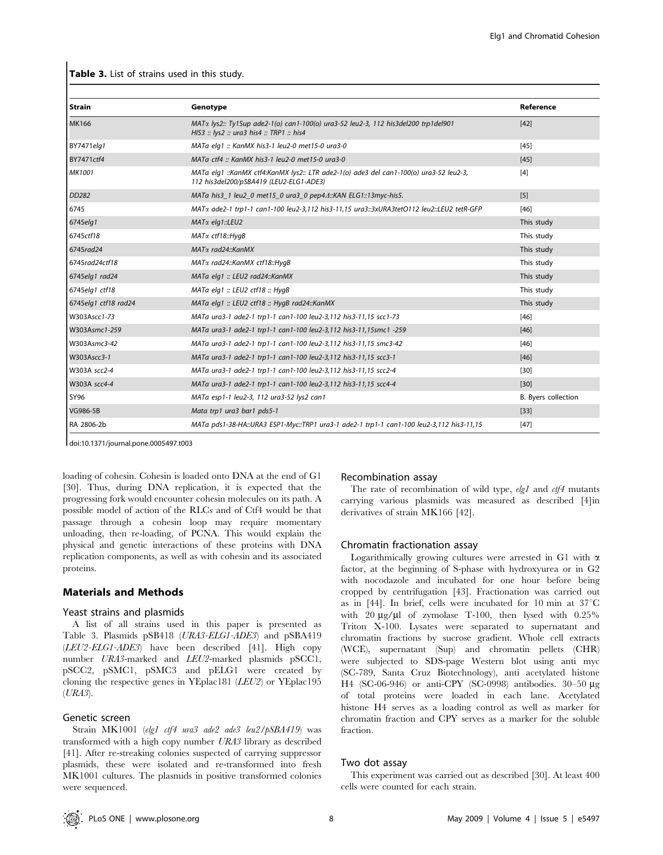Table 3. List of strains used in this study.

| Strain               | Genotype                                                                                                                               | Reference           |
|----------------------|----------------------------------------------------------------------------------------------------------------------------------------|---------------------|
| <b>MK166</b>         | $MAT\alpha$ lys2:: Ty1Sup ade2-1(o) can1-100(o) ura3-52 leu2-3, 112 his3del200 trp1del901<br>HIS3 :: lys2 :: ura3 his4 :: TRP1 :: his4 | $[42]$              |
| <b>BY7471elg1</b>    | MATa elg1 :: KanMX his3-1 leu2-0 met15-0 ura3-0                                                                                        | $[45]$              |
| <b>BY7471ctf4</b>    | MATa ctf4 :: KanMX his3-1 leu2-0 met15-0 ura3-0                                                                                        | $[45]$              |
| <b>MK1001</b>        | MATa elg1 ::KanMX ctf4:KanMX lys2:: LTR ade2-1(o) ade3 del can1-100(o) ura3-52 leu2-3,<br>112 his3del200/pSBA419 (LEU2-ELG1-ADE3)      | [4]                 |
| <b>DD282</b>         | MATa his3_1 leu2_0 met15_0 ura3_0 pep4A::KAN ELG1::13myc-his5.                                                                         | [5]                 |
| 6745                 | MATα ade2-1 trp1-1 can1-100 leu2-3,112 his3-11,15 ura3::3xURA3tetO112 leu2::LEU2 tetR-GFP                                              | $[46]$              |
| 6745elg1             | MATα elg1::LEU2                                                                                                                        | This study          |
| 6745ctf18            | MATα ctf18:: HygB                                                                                                                      | This study          |
| 6745rad24            | MATα rad24:: KanMX                                                                                                                     | This study          |
| 6745rad24ctf18       | MATα rad24::KanMX ctf18::HyqB                                                                                                          | This study          |
| 6745elg1 rad24       | MATa elg1 :: LEU2 rad24::KanMX                                                                                                         | This study          |
| 6745elg1 ctf18       | MATa elg1 :: LEU2 ctf18 :: HygB                                                                                                        | This study          |
| 6745elg1 ctf18 rad24 | MATa elg1 :: LEU2 ctf18 :: HygB rad24::KanMX                                                                                           | This study          |
| W303Ascc1-73         | MATa ura3-1 ade2-1 trp1-1 can1-100 leu2-3,112 his3-11,15 scc1-73                                                                       | $[46]$              |
| W303Asmc1-259        | MATa ura3-1 ade2-1 trp1-1 can1-100 leu2-3,112 his3-11,15smc1 -259                                                                      | $[46]$              |
| W303Asmc3-42         | MATa ura3-1 ade2-1 trp1-1 can1-100 leu2-3,112 his3-11,15 smc3-42                                                                       | $[46]$              |
| W303Ascc3-1          | MATa ura3-1 ade2-1 trp1-1 can1-100 leu2-3,112 his3-11,15 scc3-1                                                                        | $[46]$              |
| W303A scc2-4         | MATa ura3-1 ade2-1 trp1-1 can1-100 leu2-3,112 his3-11,15 scc2-4                                                                        | $[30]$              |
| W303A scc4-4         | MATa ura3-1 ade2-1 trp1-1 can1-100 leu2-3,112 his3-11,15 scc4-4                                                                        | $[30]$              |
| <b>SY96</b>          | MATa esp1-1 leu2-3, 112 ura3-52 lys2 can1                                                                                              | B. Byers collection |
| VG986-5B             | Mata trp1 ura3 bar1 pds5-1                                                                                                             | $[33]$              |
| RA 2806-2b           | MATa pds1-38-HA::URA3 ESP1-Myc::TRP1 ura3-1 ade2-1 trp1-1 can1-100 leu2-3,112 his3-11,15                                               | $[47]$              |

doi:10.1371/journal.pone.0005497.t003

loading of cohesin. Cohesin is loaded onto DNA at the end of G1 [30]. Thus, during DNA replication, it is expected that the progressing fork would encounter cohesin molecules on its path. A possible model of action of the RLCs and of Ctf4 would be that passage through a cohesin loop may require momentary unloading, then re-loading, of PCNA. This would explain the physical and genetic interactions of these proteins with DNA replication components, as well as with cohesin and its associated proteins.

#### Materials and Methods

#### Yeast strains and plasmids

A list of all strains used in this paper is presented as Table 3. Plasmids pSB418 (URA3-ELG1-ADE3) and pSBA419 (LEU2-ELG1-ADE3) have been described [41]. High copy number URA3-marked and LEU2-marked plasmids pSCC1, pSCC2, pSMC1, pSMC3 and pELG1 were created by cloning the respective genes in YEplac181 (LEU2) or YEplac195  $(URA3).$ 

#### Genetic screen

Strain MK1001 (elg1 ctf4 ura3 ade2 ade3 leu2/pSBA419) was transformed with a high copy number URA3 library as described [41]. After re-streaking colonies suspected of carrying suppressor plasmids, these were isolated and re-transformed into fresh MK1001 cultures. The plasmids in positive transformed colonies were sequenced.

#### Recombination assay

The rate of recombination of wild type, elg1 and ctf4 mutants carrying various plasmids was measured as described [4]in derivatives of strain MK166 [42].

#### Chromatin fractionation assay

Logarithmically growing cultures were arrested in G1 with  $\alpha$ factor, at the beginning of S-phase with hydroxyurea or in G2 with nocodazole and incubated for one hour before being cropped by centrifugation [43]. Fractionation was carried out as in  $[44]$ . In brief, cells were incubated for 10 min at  $37^{\circ}$ C with 20  $\mu$ g/ $\mu$ l of zymolase T-100, then lysed with 0.25% Triton X-100. Lysates were separated to supernatant and chromatin fractions by sucrose gradient. Whole cell extracts (WCE), supernatant (Sup) and chromatin pellets (CHR) were subjected to SDS-page Western blot using anti myc (SC-789, Santa Cruz Biotechnology), anti acetylated histone H4 (SC-06-946) or anti-CPY (SC-0998) antibodies. 30–50 μg of total proteins were loaded in each lane. Acetylated histone H4 serves as a loading control as well as marker for chromatin fraction and CPY serves as a marker for the soluble fraction.

#### Two dot assay

This experiment was carried out as described [30]. At least 400 cells were counted for each strain.